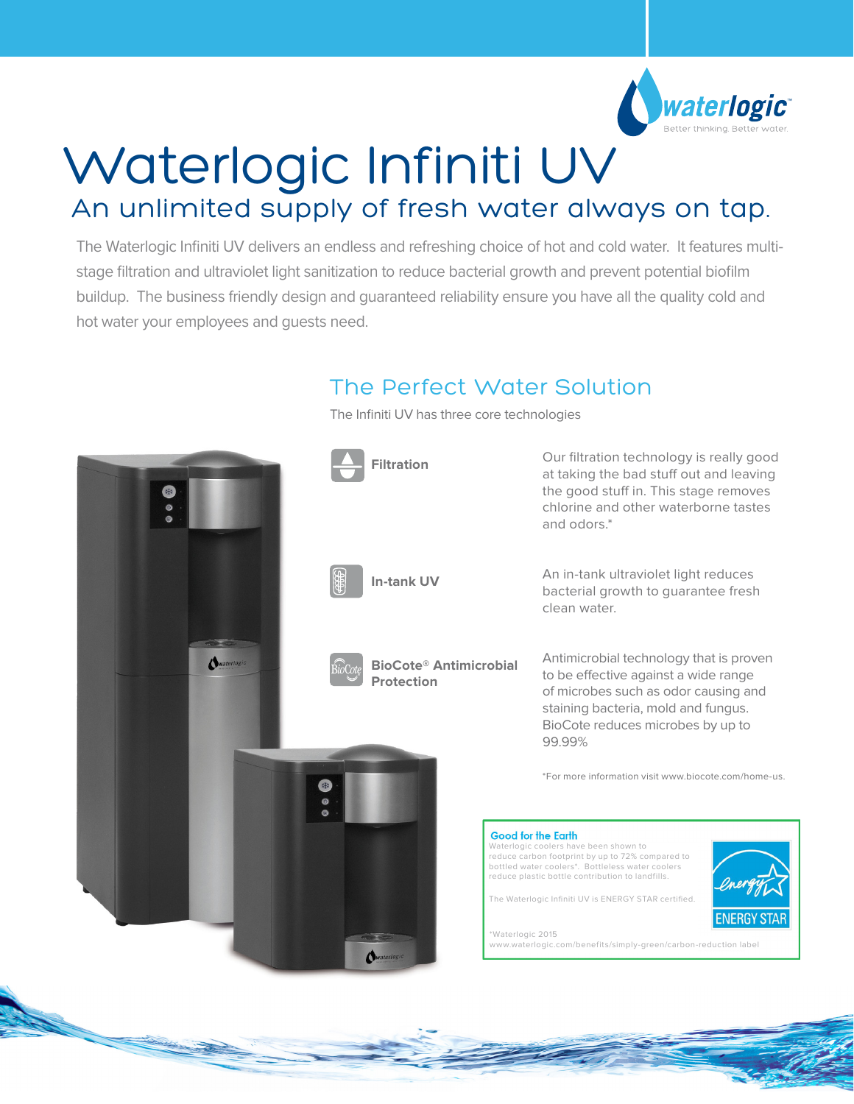

# Waterlogic Infiniti UV An unlimited supply of fresh water always on tap.

The Waterlogic Infiniti UV delivers an endless and refreshing choice of hot and cold water. It features multistage filtration and ultraviolet light sanitization to reduce bacterial growth and prevent potential biofilm buildup. The business friendly design and guaranteed reliability ensure you have all the quality cold and hot water your employees and guests need.

## The Perfect Water Solution

The Infiniti UV has three core technologies